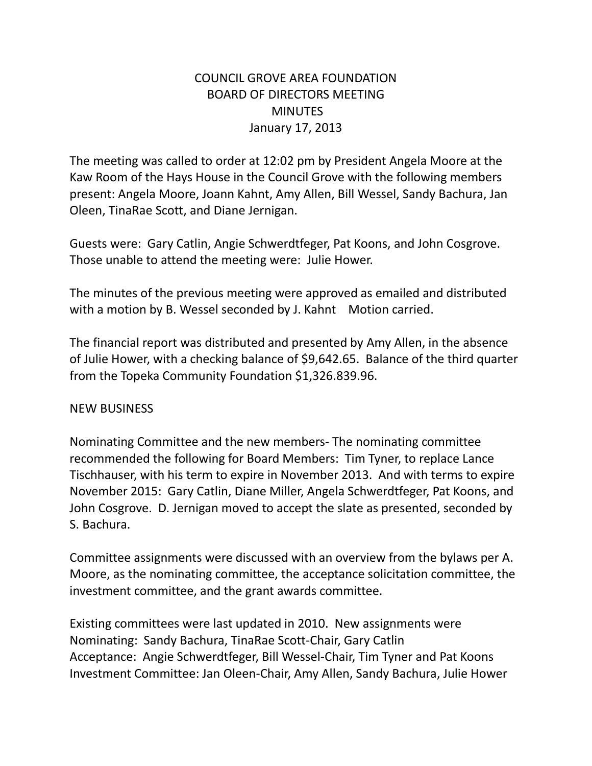# COUNCIL GROVE AREA FOUNDATION BOARD OF DIRECTORS MEETING **MINUTES** January 17, 2013

The meeting was called to order at 12:02 pm by President Angela Moore at the Kaw Room of the Hays House in the Council Grove with the following members present: Angela Moore, Joann Kahnt, Amy Allen, Bill Wessel, Sandy Bachura, Jan Oleen, TinaRae Scott, and Diane Jernigan.

Guests were: Gary Catlin, Angie Schwerdtfeger, Pat Koons, and John Cosgrove. Those unable to attend the meeting were: Julie Hower.

The minutes of the previous meeting were approved as emailed and distributed with a motion by B. Wessel seconded by J. Kahnt Motion carried.

The financial report was distributed and presented by Amy Allen, in the absence of Julie Hower, with a checking balance of \$9,642.65. Balance of the third quarter from the Topeka Community Foundation \$1,326.839.96.

## NEW BUSINESS

Nominating Committee and the new members- The nominating committee recommended the following for Board Members: Tim Tyner, to replace Lance Tischhauser, with his term to expire in November 2013. And with terms to expire November 2015: Gary Catlin, Diane Miller, Angela Schwerdtfeger, Pat Koons, and John Cosgrove. D. Jernigan moved to accept the slate as presented, seconded by S. Bachura.

Committee assignments were discussed with an overview from the bylaws per A. Moore, as the nominating committee, the acceptance solicitation committee, the investment committee, and the grant awards committee.

Existing committees were last updated in 2010. New assignments were Nominating: Sandy Bachura, TinaRae Scott-Chair, Gary Catlin Acceptance: Angie Schwerdtfeger, Bill Wessel-Chair, Tim Tyner and Pat Koons Investment Committee: Jan Oleen-Chair, Amy Allen, Sandy Bachura, Julie Hower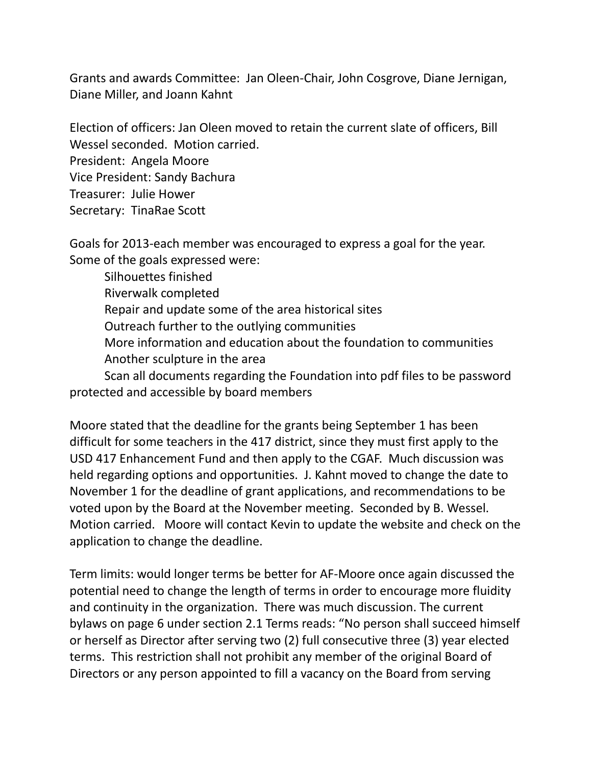Grants and awards Committee: Jan Oleen-Chair, John Cosgrove, Diane Jernigan, Diane Miller, and Joann Kahnt

Election of officers: Jan Oleen moved to retain the current slate of officers, Bill Wessel seconded. Motion carried. President: Angela Moore Vice President: Sandy Bachura Treasurer: Julie Hower Secretary: TinaRae Scott

Goals for 2013-each member was encouraged to express a goal for the year. Some of the goals expressed were:

Silhouettes finished Riverwalk completed Repair and update some of the area historical sites Outreach further to the outlying communities More information and education about the foundation to communities Another sculpture in the area Scan all documents regarding the Foundation into pdf files to be password

protected and accessible by board members

Moore stated that the deadline for the grants being September 1 has been difficult for some teachers in the 417 district, since they must first apply to the USD 417 Enhancement Fund and then apply to the CGAF. Much discussion was held regarding options and opportunities. J. Kahnt moved to change the date to November 1 for the deadline of grant applications, and recommendations to be voted upon by the Board at the November meeting. Seconded by B. Wessel. Motion carried. Moore will contact Kevin to update the website and check on the application to change the deadline.

Term limits: would longer terms be better for AF-Moore once again discussed the potential need to change the length of terms in order to encourage more fluidity and continuity in the organization. There was much discussion. The current bylaws on page 6 under section 2.1 Terms reads: "No person shall succeed himself or herself as Director after serving two (2) full consecutive three (3) year elected terms. This restriction shall not prohibit any member of the original Board of Directors or any person appointed to fill a vacancy on the Board from serving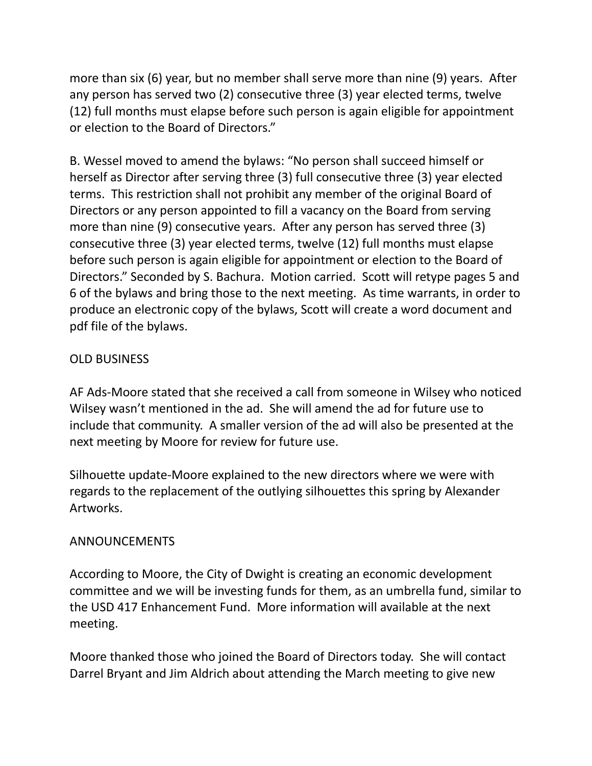more than six (6) year, but no member shall serve more than nine (9) years. After any person has served two (2) consecutive three (3) year elected terms, twelve (12) full months must elapse before such person is again eligible for appointment or election to the Board of Directors."

B. Wessel moved to amend the bylaws: "No person shall succeed himself or herself as Director after serving three (3) full consecutive three (3) year elected terms. This restriction shall not prohibit any member of the original Board of Directors or any person appointed to fill a vacancy on the Board from serving more than nine (9) consecutive years. After any person has served three (3) consecutive three (3) year elected terms, twelve (12) full months must elapse before such person is again eligible for appointment or election to the Board of Directors." Seconded by S. Bachura. Motion carried. Scott will retype pages 5 and 6 of the bylaws and bring those to the next meeting. As time warrants, in order to produce an electronic copy of the bylaws, Scott will create a word document and pdf file of the bylaws.

# OLD BUSINESS

AF Ads-Moore stated that she received a call from someone in Wilsey who noticed Wilsey wasn't mentioned in the ad. She will amend the ad for future use to include that community. A smaller version of the ad will also be presented at the next meeting by Moore for review for future use.

Silhouette update-Moore explained to the new directors where we were with regards to the replacement of the outlying silhouettes this spring by Alexander Artworks.

## ANNOUNCEMENTS

According to Moore, the City of Dwight is creating an economic development committee and we will be investing funds for them, as an umbrella fund, similar to the USD 417 Enhancement Fund. More information will available at the next meeting.

Moore thanked those who joined the Board of Directors today. She will contact Darrel Bryant and Jim Aldrich about attending the March meeting to give new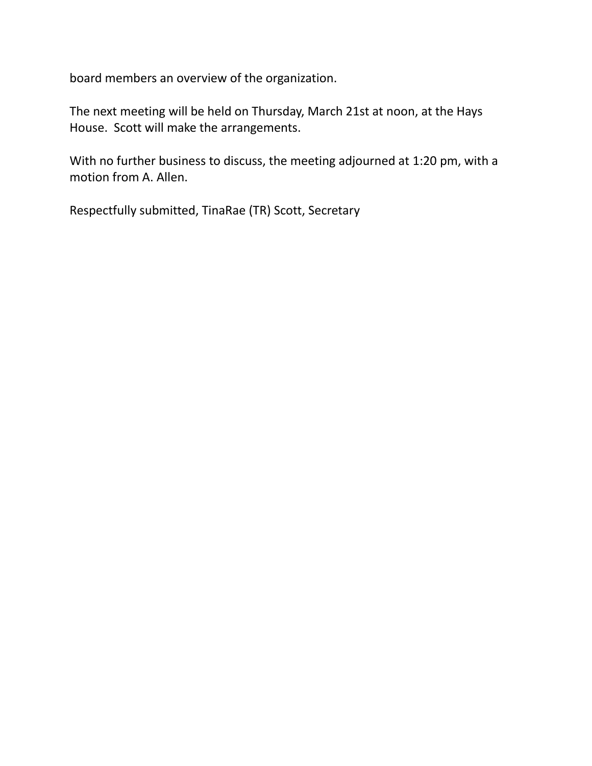board members an overview of the organization.

The next meeting will be held on Thursday, March 21st at noon, at the Hays House. Scott will make the arrangements.

With no further business to discuss, the meeting adjourned at 1:20 pm, with a motion from A. Allen.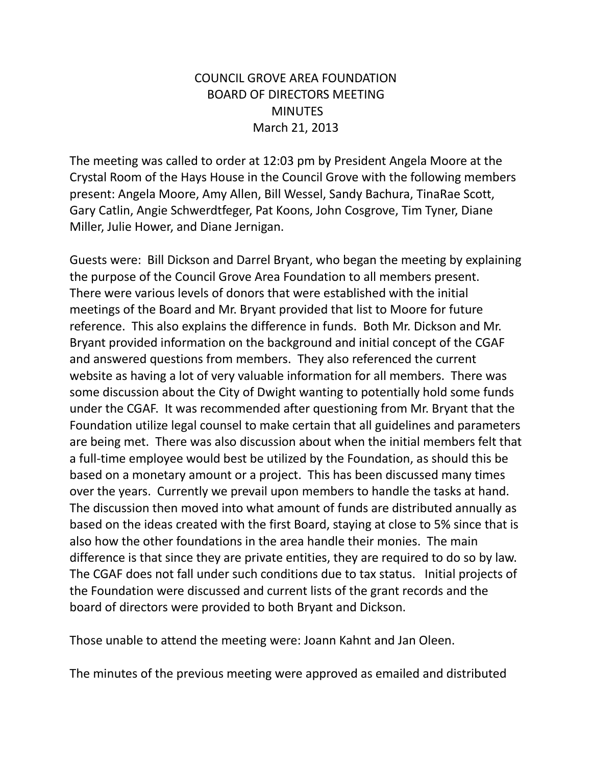# COUNCIL GROVE AREA FOUNDATION BOARD OF DIRECTORS MEETING **MINUTES** March 21, 2013

The meeting was called to order at 12:03 pm by President Angela Moore at the Crystal Room of the Hays House in the Council Grove with the following members present: Angela Moore, Amy Allen, Bill Wessel, Sandy Bachura, TinaRae Scott, Gary Catlin, Angie Schwerdtfeger, Pat Koons, John Cosgrove, Tim Tyner, Diane Miller, Julie Hower, and Diane Jernigan.

Guests were: Bill Dickson and Darrel Bryant, who began the meeting by explaining the purpose of the Council Grove Area Foundation to all members present. There were various levels of donors that were established with the initial meetings of the Board and Mr. Bryant provided that list to Moore for future reference. This also explains the difference in funds. Both Mr. Dickson and Mr. Bryant provided information on the background and initial concept of the CGAF and answered questions from members. They also referenced the current website as having a lot of very valuable information for all members. There was some discussion about the City of Dwight wanting to potentially hold some funds under the CGAF. It was recommended after questioning from Mr. Bryant that the Foundation utilize legal counsel to make certain that all guidelines and parameters are being met. There was also discussion about when the initial members felt that a full-time employee would best be utilized by the Foundation, as should this be based on a monetary amount or a project. This has been discussed many times over the years. Currently we prevail upon members to handle the tasks at hand. The discussion then moved into what amount of funds are distributed annually as based on the ideas created with the first Board, staying at close to 5% since that is also how the other foundations in the area handle their monies. The main difference is that since they are private entities, they are required to do so by law. The CGAF does not fall under such conditions due to tax status. Initial projects of the Foundation were discussed and current lists of the grant records and the board of directors were provided to both Bryant and Dickson.

Those unable to attend the meeting were: Joann Kahnt and Jan Oleen.

The minutes of the previous meeting were approved as emailed and distributed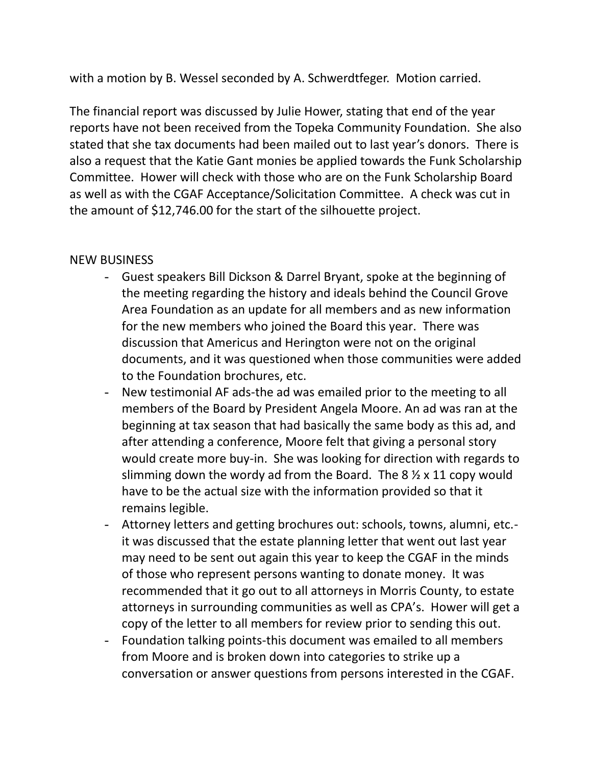with a motion by B. Wessel seconded by A. Schwerdtfeger. Motion carried.

The financial report was discussed by Julie Hower, stating that end of the year reports have not been received from the Topeka Community Foundation. She also stated that she tax documents had been mailed out to last year's donors. There is also a request that the Katie Gant monies be applied towards the Funk Scholarship Committee. Hower will check with those who are on the Funk Scholarship Board as well as with the CGAF Acceptance/Solicitation Committee. A check was cut in the amount of \$12,746.00 for the start of the silhouette project.

## NEW BUSINESS

- Guest speakers Bill Dickson & Darrel Bryant, spoke at the beginning of the meeting regarding the history and ideals behind the Council Grove Area Foundation as an update for all members and as new information for the new members who joined the Board this year. There was discussion that Americus and Herington were not on the original documents, and it was questioned when those communities were added to the Foundation brochures, etc.
- New testimonial AF ads-the ad was emailed prior to the meeting to all members of the Board by President Angela Moore. An ad was ran at the beginning at tax season that had basically the same body as this ad, and after attending a conference, Moore felt that giving a personal story would create more buy-in. She was looking for direction with regards to slimming down the wordy ad from the Board. The  $8\frac{1}{2} \times 11$  copy would have to be the actual size with the information provided so that it remains legible.
- Attorney letters and getting brochures out: schools, towns, alumni, etc. it was discussed that the estate planning letter that went out last year may need to be sent out again this year to keep the CGAF in the minds of those who represent persons wanting to donate money. It was recommended that it go out to all attorneys in Morris County, to estate attorneys in surrounding communities as well as CPA's. Hower will get a copy of the letter to all members for review prior to sending this out.
- Foundation talking points-this document was emailed to all members from Moore and is broken down into categories to strike up a conversation or answer questions from persons interested in the CGAF.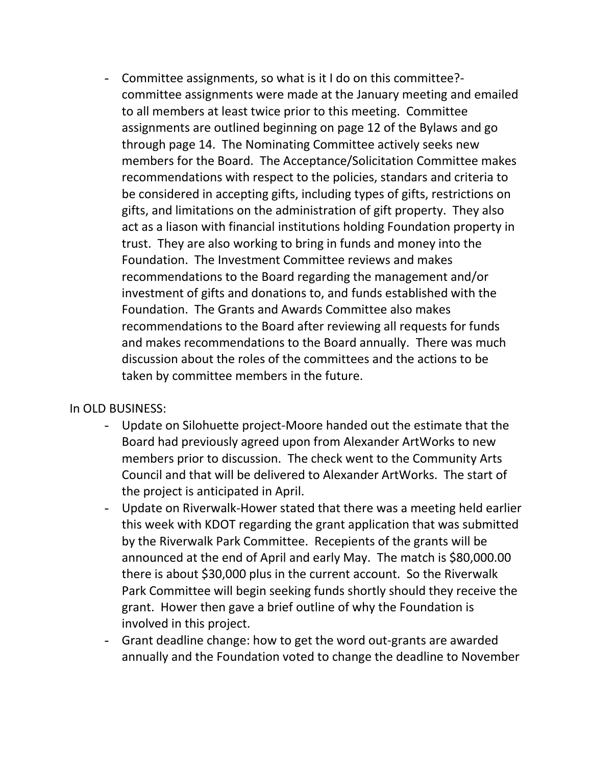- Committee assignments, so what is it I do on this committee? committee assignments were made at the January meeting and emailed to all members at least twice prior to this meeting. Committee assignments are outlined beginning on page 12 of the Bylaws and go through page 14. The Nominating Committee actively seeks new members for the Board. The Acceptance/Solicitation Committee makes recommendations with respect to the policies, standars and criteria to be considered in accepting gifts, including types of gifts, restrictions on gifts, and limitations on the administration of gift property. They also act as a liason with financial institutions holding Foundation property in trust. They are also working to bring in funds and money into the Foundation. The Investment Committee reviews and makes recommendations to the Board regarding the management and/or investment of gifts and donations to, and funds established with the Foundation. The Grants and Awards Committee also makes recommendations to the Board after reviewing all requests for funds and makes recommendations to the Board annually. There was much discussion about the roles of the committees and the actions to be taken by committee members in the future.

In OLD BUSINESS:

- Update on Silohuette project-Moore handed out the estimate that the Board had previously agreed upon from Alexander ArtWorks to new members prior to discussion. The check went to the Community Arts Council and that will be delivered to Alexander ArtWorks. The start of the project is anticipated in April.
- Update on Riverwalk-Hower stated that there was a meeting held earlier this week with KDOT regarding the grant application that was submitted by the Riverwalk Park Committee. Recepients of the grants will be announced at the end of April and early May. The match is \$80,000.00 there is about \$30,000 plus in the current account. So the Riverwalk Park Committee will begin seeking funds shortly should they receive the grant. Hower then gave a brief outline of why the Foundation is involved in this project.
- Grant deadline change: how to get the word out-grants are awarded annually and the Foundation voted to change the deadline to November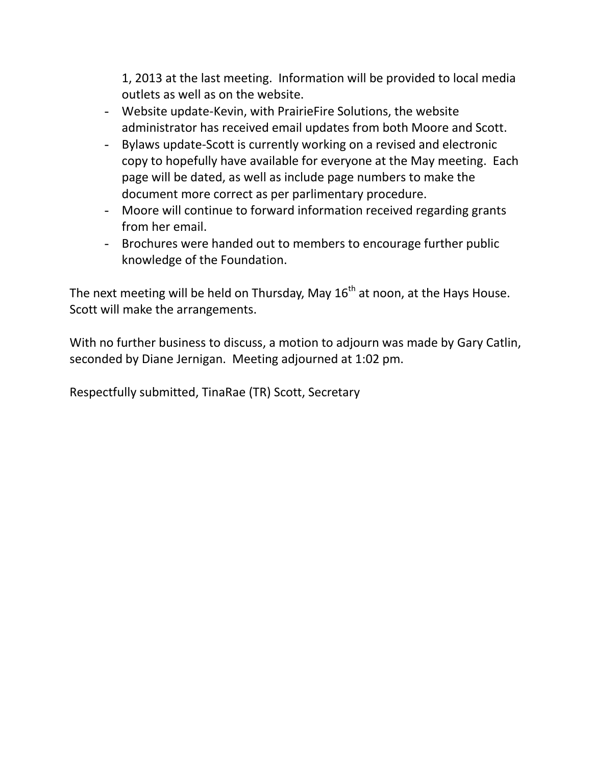1, 2013 at the last meeting. Information will be provided to local media outlets as well as on the website.

- Website update-Kevin, with PrairieFire Solutions, the website administrator has received email updates from both Moore and Scott.
- Bylaws update-Scott is currently working on a revised and electronic copy to hopefully have available for everyone at the May meeting. Each page will be dated, as well as include page numbers to make the document more correct as per parlimentary procedure.
- Moore will continue to forward information received regarding grants from her email.
- Brochures were handed out to members to encourage further public knowledge of the Foundation.

The next meeting will be held on Thursday, May  $16<sup>th</sup>$  at noon, at the Hays House. Scott will make the arrangements.

With no further business to discuss, a motion to adjourn was made by Gary Catlin, seconded by Diane Jernigan. Meeting adjourned at 1:02 pm.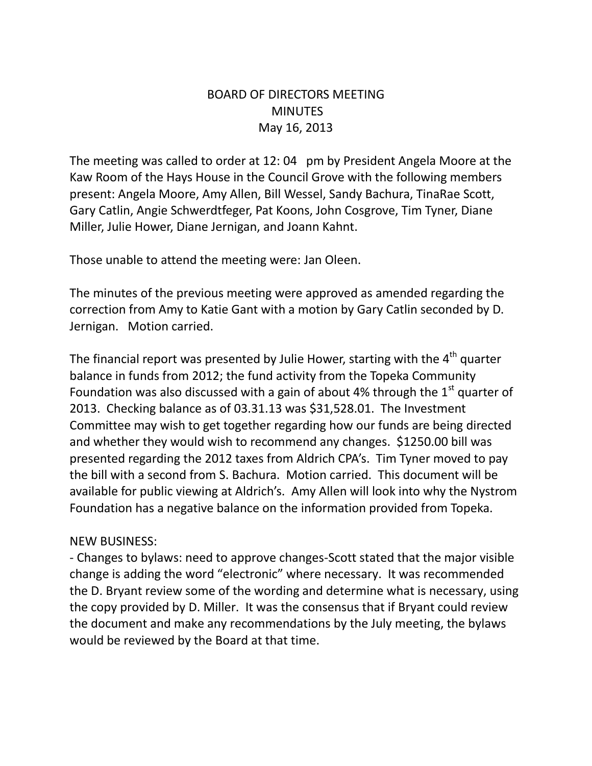## BOARD OF DIRECTORS MEETING **MINUTES** May 16, 2013

The meeting was called to order at 12:04 pm by President Angela Moore at the Kaw Room of the Hays House in the Council Grove with the following members present: Angela Moore, Amy Allen, Bill Wessel, Sandy Bachura, TinaRae Scott, Gary Catlin, Angie Schwerdtfeger, Pat Koons, John Cosgrove, Tim Tyner, Diane Miller, Julie Hower, Diane Jernigan, and Joann Kahnt.

Those unable to attend the meeting were: Jan Oleen.

The minutes of the previous meeting were approved as amended regarding the correction from Amy to Katie Gant with a motion by Gary Catlin seconded by D. Jernigan. Motion carried.

The financial report was presented by Julie Hower, starting with the  $4<sup>th</sup>$  quarter balance in funds from 2012; the fund activity from the Topeka Community Foundation was also discussed with a gain of about 4% through the  $1<sup>st</sup>$  quarter of 2013. Checking balance as of 03.31.13 was \$31,528.01. The Investment Committee may wish to get together regarding how our funds are being directed and whether they would wish to recommend any changes. \$1250.00 bill was presented regarding the 2012 taxes from Aldrich CPA's. Tim Tyner moved to pay the bill with a second from S. Bachura. Motion carried. This document will be available for public viewing at Aldrich's. Amy Allen will look into why the Nystrom Foundation has a negative balance on the information provided from Topeka.

## NEW BUSINESS:

- Changes to bylaws: need to approve changes-Scott stated that the major visible change is adding the word "electronic" where necessary. It was recommended the D. Bryant review some of the wording and determine what is necessary, using the copy provided by D. Miller. It was the consensus that if Bryant could review the document and make any recommendations by the July meeting, the bylaws would be reviewed by the Board at that time.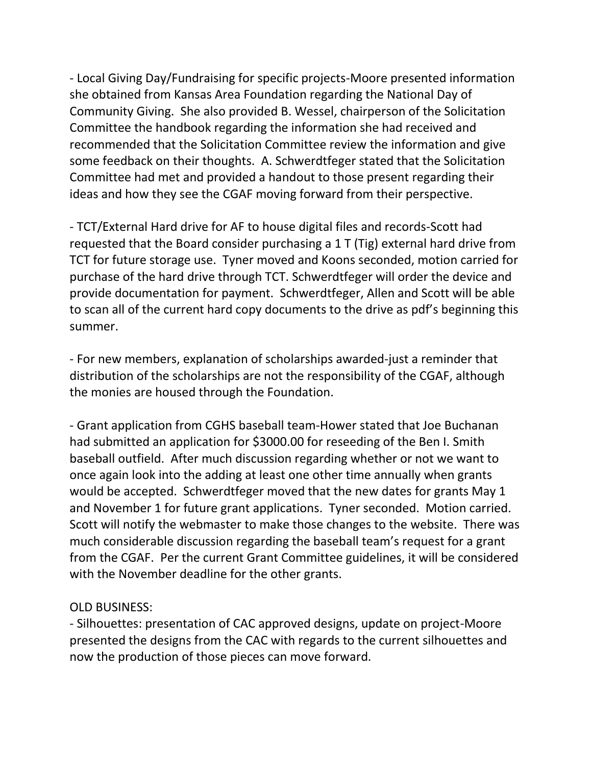- Local Giving Day/Fundraising for specific projects-Moore presented information she obtained from Kansas Area Foundation regarding the National Day of Community Giving. She also provided B. Wessel, chairperson of the Solicitation Committee the handbook regarding the information she had received and recommended that the Solicitation Committee review the information and give some feedback on their thoughts. A. Schwerdtfeger stated that the Solicitation Committee had met and provided a handout to those present regarding their ideas and how they see the CGAF moving forward from their perspective.

- TCT/External Hard drive for AF to house digital files and records-Scott had requested that the Board consider purchasing a 1 T (Tig) external hard drive from TCT for future storage use. Tyner moved and Koons seconded, motion carried for purchase of the hard drive through TCT. Schwerdtfeger will order the device and provide documentation for payment. Schwerdtfeger, Allen and Scott will be able to scan all of the current hard copy documents to the drive as pdf's beginning this summer.

- For new members, explanation of scholarships awarded-just a reminder that distribution of the scholarships are not the responsibility of the CGAF, although the monies are housed through the Foundation.

- Grant application from CGHS baseball team-Hower stated that Joe Buchanan had submitted an application for \$3000.00 for reseeding of the Ben I. Smith baseball outfield. After much discussion regarding whether or not we want to once again look into the adding at least one other time annually when grants would be accepted. Schwerdtfeger moved that the new dates for grants May 1 and November 1 for future grant applications. Tyner seconded. Motion carried. Scott will notify the webmaster to make those changes to the website. There was much considerable discussion regarding the baseball team's request for a grant from the CGAF. Per the current Grant Committee guidelines, it will be considered with the November deadline for the other grants.

#### OLD BUSINESS:

- Silhouettes: presentation of CAC approved designs, update on project-Moore presented the designs from the CAC with regards to the current silhouettes and now the production of those pieces can move forward.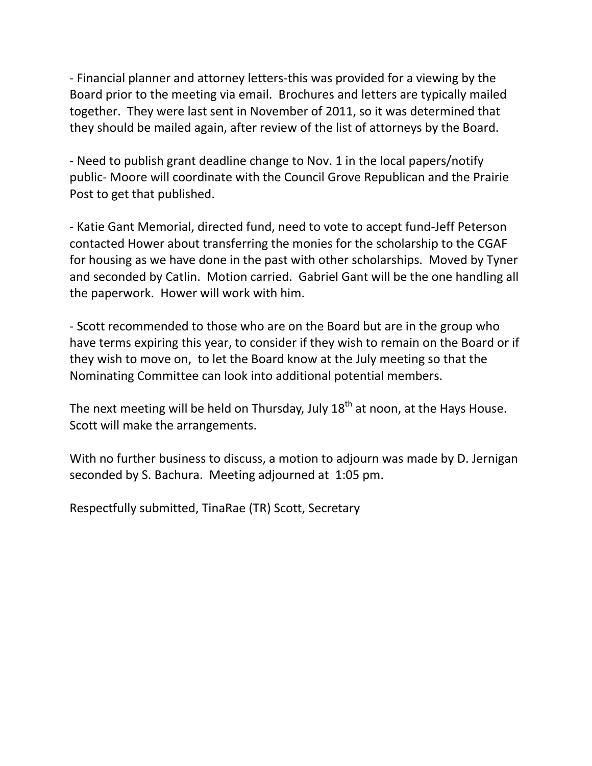- Financial planner and attorney letters-this was provided for a viewing by the Board prior to the meeting via email. Brochures and letters are typically mailed together. They were last sent in November of 2011, so it was determined that they should be mailed again, after review of the list of attorneys by the Board.

- Need to publish grant deadline change to Nov. 1 in the local papers/notify public- Moore will coordinate with the Council Grove Republican and the Prairie Post to get that published.

- Katie Gant Memorial, directed fund, need to vote to accept fund-Jeff Peterson contacted Hower about transferring the monies for the scholarship to the CGAF for housing as we have done in the past with other scholarships. Moved by Tyner and seconded by Catlin. Motion carried. Gabriel Gant will be the one handling all the paperwork. Hower will work with him.

- Scott recommended to those who are on the Board but are in the group who have terms expiring this year, to consider if they wish to remain on the Board or if they wish to move on, to let the Board know at the July meeting so that the Nominating Committee can look into additional potential members.

The next meeting will be held on Thursday, July  $18<sup>th</sup>$  at noon, at the Hays House. Scott will make the arrangements.

With no further business to discuss, a motion to adjourn was made by D. Jernigan seconded by S. Bachura. Meeting adjourned at 1:05 pm.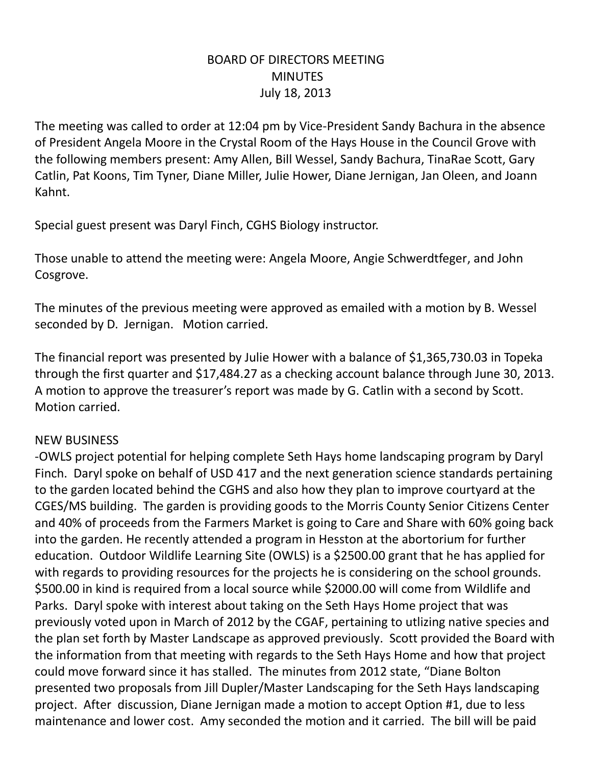## BOARD OF DIRECTORS MEETING **MINUTES** July 18, 2013

The meeting was called to order at 12:04 pm by Vice-President Sandy Bachura in the absence of President Angela Moore in the Crystal Room of the Hays House in the Council Grove with the following members present: Amy Allen, Bill Wessel, Sandy Bachura, TinaRae Scott, Gary Catlin, Pat Koons, Tim Tyner, Diane Miller, Julie Hower, Diane Jernigan, Jan Oleen, and Joann Kahnt.

Special guest present was Daryl Finch, CGHS Biology instructor.

Those unable to attend the meeting were: Angela Moore, Angie Schwerdtfeger, and John Cosgrove.

The minutes of the previous meeting were approved as emailed with a motion by B. Wessel seconded by D. Jernigan. Motion carried.

The financial report was presented by Julie Hower with a balance of \$1,365,730.03 in Topeka through the first quarter and \$17,484.27 as a checking account balance through June 30, 2013. A motion to approve the treasurer's report was made by G. Catlin with a second by Scott. Motion carried.

## NEW BUSINESS

-OWLS project potential for helping complete Seth Hays home landscaping program by Daryl Finch. Daryl spoke on behalf of USD 417 and the next generation science standards pertaining to the garden located behind the CGHS and also how they plan to improve courtyard at the CGES/MS building. The garden is providing goods to the Morris County Senior Citizens Center and 40% of proceeds from the Farmers Market is going to Care and Share with 60% going back into the garden. He recently attended a program in Hesston at the abortorium for further education. Outdoor Wildlife Learning Site (OWLS) is a \$2500.00 grant that he has applied for with regards to providing resources for the projects he is considering on the school grounds. \$500.00 in kind is required from a local source while \$2000.00 will come from Wildlife and Parks. Daryl spoke with interest about taking on the Seth Hays Home project that was previously voted upon in March of 2012 by the CGAF, pertaining to utlizing native species and the plan set forth by Master Landscape as approved previously. Scott provided the Board with the information from that meeting with regards to the Seth Hays Home and how that project could move forward since it has stalled. The minutes from 2012 state, "Diane Bolton presented two proposals from Jill Dupler/Master Landscaping for the Seth Hays landscaping project. After discussion, Diane Jernigan made a motion to accept Option #1, due to less maintenance and lower cost. Amy seconded the motion and it carried. The bill will be paid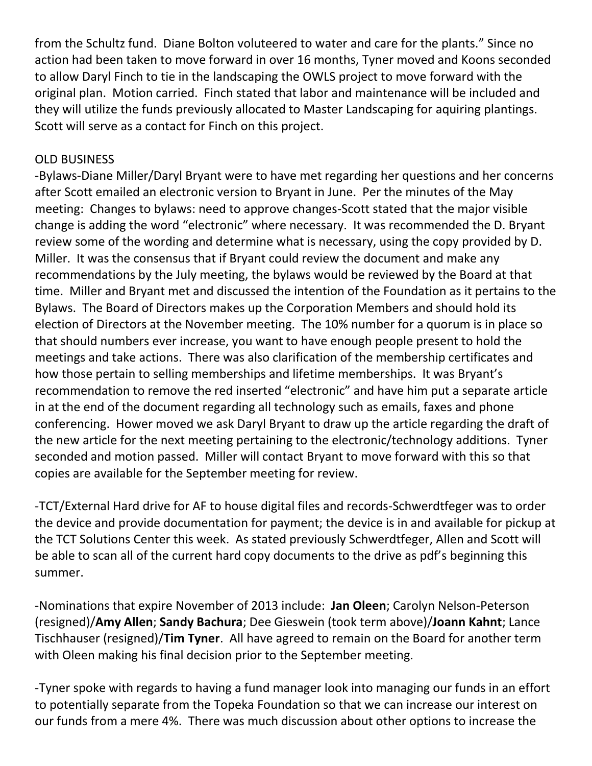from the Schultz fund. Diane Bolton voluteered to water and care for the plants." Since no action had been taken to move forward in over 16 months, Tyner moved and Koons seconded to allow Daryl Finch to tie in the landscaping the OWLS project to move forward with the original plan. Motion carried. Finch stated that labor and maintenance will be included and they will utilize the funds previously allocated to Master Landscaping for aquiring plantings. Scott will serve as a contact for Finch on this project.

#### OLD BUSINESS

-Bylaws-Diane Miller/Daryl Bryant were to have met regarding her questions and her concerns after Scott emailed an electronic version to Bryant in June. Per the minutes of the May meeting: Changes to bylaws: need to approve changes-Scott stated that the major visible change is adding the word "electronic" where necessary. It was recommended the D. Bryant review some of the wording and determine what is necessary, using the copy provided by D. Miller. It was the consensus that if Bryant could review the document and make any recommendations by the July meeting, the bylaws would be reviewed by the Board at that time. Miller and Bryant met and discussed the intention of the Foundation as it pertains to the Bylaws. The Board of Directors makes up the Corporation Members and should hold its election of Directors at the November meeting. The 10% number for a quorum is in place so that should numbers ever increase, you want to have enough people present to hold the meetings and take actions. There was also clarification of the membership certificates and how those pertain to selling memberships and lifetime memberships. It was Bryant's recommendation to remove the red inserted "electronic" and have him put a separate article in at the end of the document regarding all technology such as emails, faxes and phone conferencing. Hower moved we ask Daryl Bryant to draw up the article regarding the draft of the new article for the next meeting pertaining to the electronic/technology additions. Tyner seconded and motion passed. Miller will contact Bryant to move forward with this so that copies are available for the September meeting for review.

-TCT/External Hard drive for AF to house digital files and records-Schwerdtfeger was to order the device and provide documentation for payment; the device is in and available for pickup at the TCT Solutions Center this week. As stated previously Schwerdtfeger, Allen and Scott will be able to scan all of the current hard copy documents to the drive as pdf's beginning this summer.

-Nominations that expire November of 2013 include: **Jan Oleen**; Carolyn Nelson-Peterson (resigned)/**Amy Allen**; **Sandy Bachura**; Dee Gieswein (took term above)/**Joann Kahnt**; Lance Tischhauser (resigned)/**Tim Tyner**. All have agreed to remain on the Board for another term with Oleen making his final decision prior to the September meeting.

-Tyner spoke with regards to having a fund manager look into managing our funds in an effort to potentially separate from the Topeka Foundation so that we can increase our interest on our funds from a mere 4%. There was much discussion about other options to increase the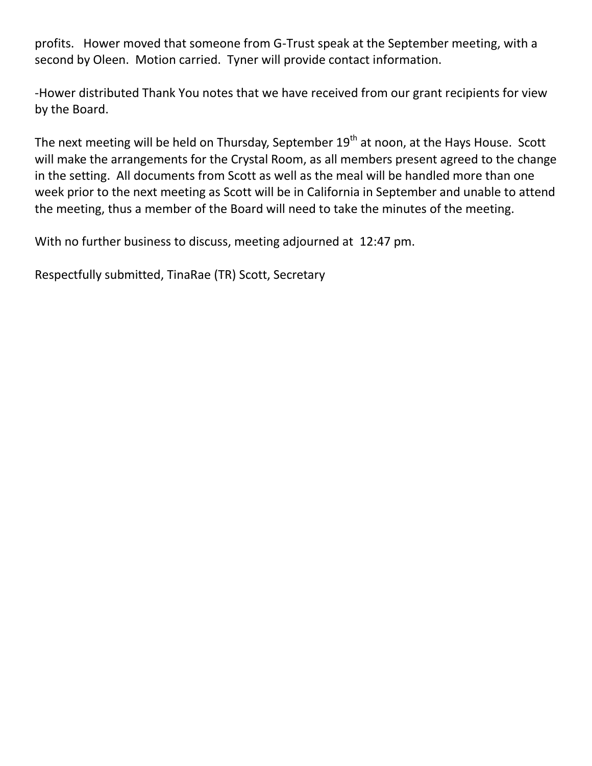profits. Hower moved that someone from G-Trust speak at the September meeting, with a second by Oleen. Motion carried. Tyner will provide contact information.

-Hower distributed Thank You notes that we have received from our grant recipients for view by the Board.

The next meeting will be held on Thursday, September 19<sup>th</sup> at noon, at the Hays House. Scott will make the arrangements for the Crystal Room, as all members present agreed to the change in the setting. All documents from Scott as well as the meal will be handled more than one week prior to the next meeting as Scott will be in California in September and unable to attend the meeting, thus a member of the Board will need to take the minutes of the meeting.

With no further business to discuss, meeting adjourned at 12:47 pm.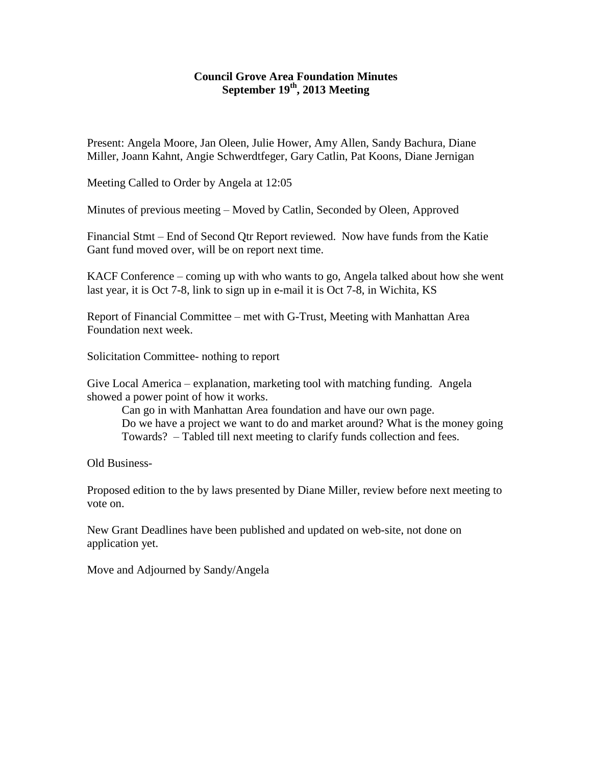#### **Council Grove Area Foundation Minutes September 19th, 2013 Meeting**

Present: Angela Moore, Jan Oleen, Julie Hower, Amy Allen, Sandy Bachura, Diane Miller, Joann Kahnt, Angie Schwerdtfeger, Gary Catlin, Pat Koons, Diane Jernigan

Meeting Called to Order by Angela at 12:05

Minutes of previous meeting – Moved by Catlin, Seconded by Oleen, Approved

Financial Stmt – End of Second Qtr Report reviewed. Now have funds from the Katie Gant fund moved over, will be on report next time.

KACF Conference – coming up with who wants to go, Angela talked about how she went last year, it is Oct 7-8, link to sign up in e-mail it is Oct 7-8, in Wichita, KS

Report of Financial Committee – met with G-Trust, Meeting with Manhattan Area Foundation next week.

Solicitation Committee- nothing to report

Give Local America – explanation, marketing tool with matching funding. Angela showed a power point of how it works.

Can go in with Manhattan Area foundation and have our own page. Do we have a project we want to do and market around? What is the money going Towards? – Tabled till next meeting to clarify funds collection and fees.

Old Business-

Proposed edition to the by laws presented by Diane Miller, review before next meeting to vote on.

New Grant Deadlines have been published and updated on web-site, not done on application yet.

Move and Adjourned by Sandy/Angela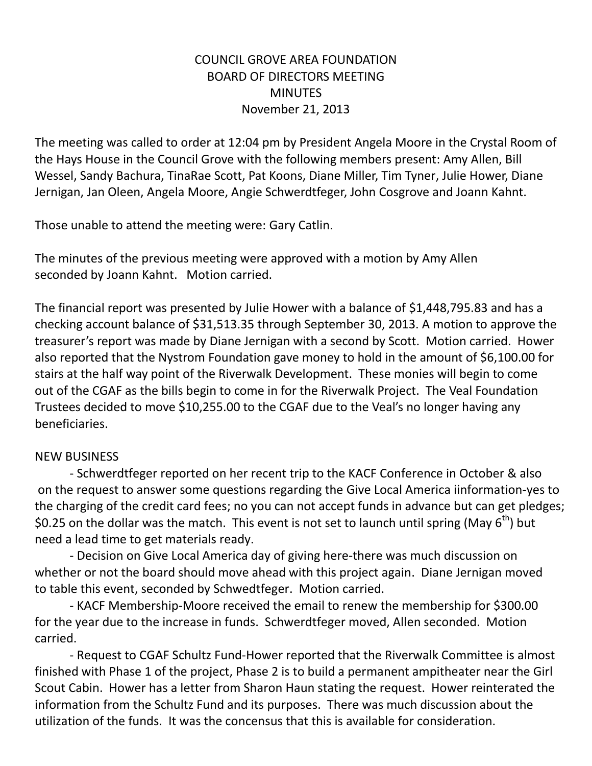## COUNCIL GROVE AREA FOUNDATION BOARD OF DIRECTORS MEETING **MINUTES** November 21, 2013

The meeting was called to order at 12:04 pm by President Angela Moore in the Crystal Room of the Hays House in the Council Grove with the following members present: Amy Allen, Bill Wessel, Sandy Bachura, TinaRae Scott, Pat Koons, Diane Miller, Tim Tyner, Julie Hower, Diane Jernigan, Jan Oleen, Angela Moore, Angie Schwerdtfeger, John Cosgrove and Joann Kahnt.

Those unable to attend the meeting were: Gary Catlin.

The minutes of the previous meeting were approved with a motion by Amy Allen seconded by Joann Kahnt. Motion carried.

The financial report was presented by Julie Hower with a balance of \$1,448,795.83 and has a checking account balance of \$31,513.35 through September 30, 2013. A motion to approve the treasurer's report was made by Diane Jernigan with a second by Scott. Motion carried. Hower also reported that the Nystrom Foundation gave money to hold in the amount of \$6,100.00 for stairs at the half way point of the Riverwalk Development. These monies will begin to come out of the CGAF as the bills begin to come in for the Riverwalk Project. The Veal Foundation Trustees decided to move \$10,255.00 to the CGAF due to the Veal's no longer having any beneficiaries.

## NEW BUSINESS

- Schwerdtfeger reported on her recent trip to the KACF Conference in October & also on the request to answer some questions regarding the Give Local America iinformation-yes to the charging of the credit card fees; no you can not accept funds in advance but can get pledges; \$0.25 on the dollar was the match. This event is not set to launch until spring (May  $6<sup>th</sup>$ ) but need a lead time to get materials ready.

- Decision on Give Local America day of giving here-there was much discussion on whether or not the board should move ahead with this project again. Diane Jernigan moved to table this event, seconded by Schwedtfeger. Motion carried.

- KACF Membership-Moore received the email to renew the membership for \$300.00 for the year due to the increase in funds. Schwerdtfeger moved, Allen seconded. Motion carried.

- Request to CGAF Schultz Fund-Hower reported that the Riverwalk Committee is almost finished with Phase 1 of the project, Phase 2 is to build a permanent ampitheater near the Girl Scout Cabin. Hower has a letter from Sharon Haun stating the request. Hower reinterated the information from the Schultz Fund and its purposes. There was much discussion about the utilization of the funds. It was the concensus that this is available for consideration.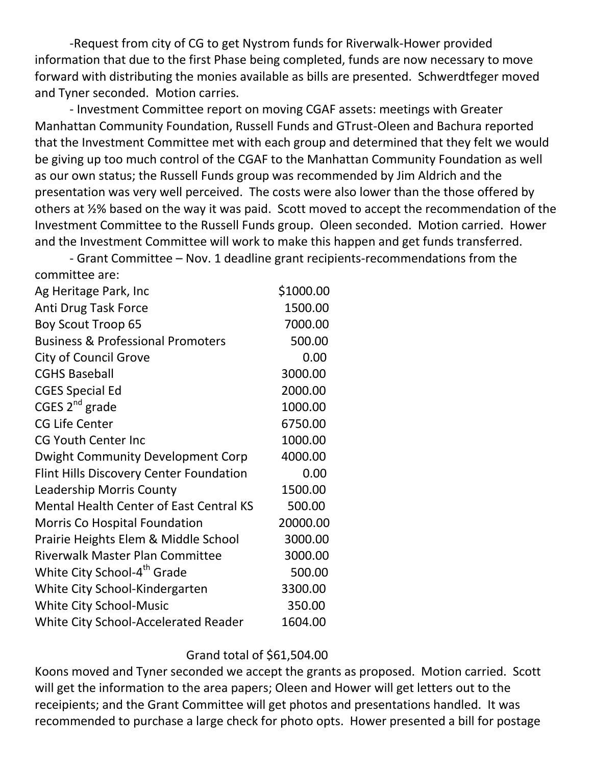-Request from city of CG to get Nystrom funds for Riverwalk-Hower provided information that due to the first Phase being completed, funds are now necessary to move forward with distributing the monies available as bills are presented. Schwerdtfeger moved and Tyner seconded. Motion carries.

- Investment Committee report on moving CGAF assets: meetings with Greater Manhattan Community Foundation, Russell Funds and GTrust-Oleen and Bachura reported that the Investment Committee met with each group and determined that they felt we would be giving up too much control of the CGAF to the Manhattan Community Foundation as well as our own status; the Russell Funds group was recommended by Jim Aldrich and the presentation was very well perceived. The costs were also lower than the those offered by others at ½% based on the way it was paid. Scott moved to accept the recommendation of the Investment Committee to the Russell Funds group. Oleen seconded. Motion carried. Hower and the Investment Committee will work to make this happen and get funds transferred.

- Grant Committee – Nov. 1 deadline grant recipients-recommendations from the committee are:

| Ag Heritage Park, Inc                          | \$1000.00 |
|------------------------------------------------|-----------|
| Anti Drug Task Force                           | 1500.00   |
| <b>Boy Scout Troop 65</b>                      | 7000.00   |
| <b>Business &amp; Professional Promoters</b>   | 500.00    |
| <b>City of Council Grove</b>                   | 0.00      |
| <b>CGHS Baseball</b>                           | 3000.00   |
| <b>CGES Special Ed</b>                         | 2000.00   |
| CGES $2^{nd}$ grade                            | 1000.00   |
| <b>CG Life Center</b>                          | 6750.00   |
| <b>CG Youth Center Inc</b>                     | 1000.00   |
| <b>Dwight Community Development Corp</b>       | 4000.00   |
| <b>Flint Hills Discovery Center Foundation</b> | 0.00      |
| Leadership Morris County                       | 1500.00   |
| <b>Mental Health Center of East Central KS</b> | 500.00    |
| <b>Morris Co Hospital Foundation</b>           | 20000.00  |
| Prairie Heights Elem & Middle School           | 3000.00   |
| <b>Riverwalk Master Plan Committee</b>         | 3000.00   |
| White City School-4 <sup>th</sup> Grade        | 500.00    |
| White City School-Kindergarten                 | 3300.00   |
| <b>White City School-Music</b>                 | 350.00    |
| White City School-Accelerated Reader           | 1604.00   |

#### Grand total of \$61,504.00

Koons moved and Tyner seconded we accept the grants as proposed. Motion carried. Scott will get the information to the area papers; Oleen and Hower will get letters out to the receipients; and the Grant Committee will get photos and presentations handled. It was recommended to purchase a large check for photo opts. Hower presented a bill for postage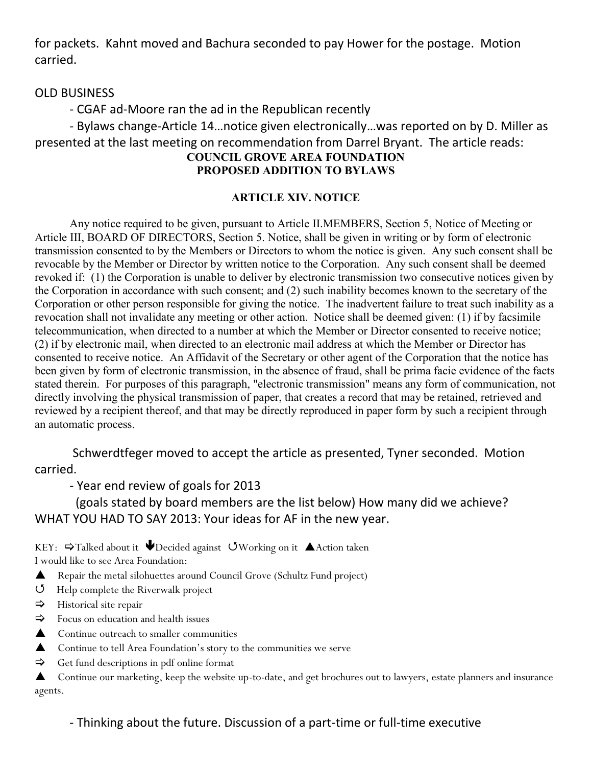for packets. Kahnt moved and Bachura seconded to pay Hower for the postage. Motion carried.

#### OLD BUSINESS

- CGAF ad-Moore ran the ad in the Republican recently

- Bylaws change-Article 14…notice given electronically…was reported on by D. Miller as presented at the last meeting on recommendation from Darrel Bryant. The article reads: **COUNCIL GROVE AREA FOUNDATION PROPOSED ADDITION TO BYLAWS**

## **ARTICLE XIV. NOTICE**

Any notice required to be given, pursuant to Article II.MEMBERS, Section 5, Notice of Meeting or Article III, BOARD OF DIRECTORS, Section 5. Notice, shall be given in writing or by form of electronic transmission consented to by the Members or Directors to whom the notice is given. Any such consent shall be revocable by the Member or Director by written notice to the Corporation. Any such consent shall be deemed revoked if: (1) the Corporation is unable to deliver by electronic transmission two consecutive notices given by the Corporation in accordance with such consent; and (2) such inability becomes known to the secretary of the Corporation or other person responsible for giving the notice. The inadvertent failure to treat such inability as a revocation shall not invalidate any meeting or other action. Notice shall be deemed given: (1) if by facsimile telecommunication, when directed to a number at which the Member or Director consented to receive notice; (2) if by electronic mail, when directed to an electronic mail address at which the Member or Director has consented to receive notice. An Affidavit of the Secretary or other agent of the Corporation that the notice has been given by form of electronic transmission, in the absence of fraud, shall be prima facie evidence of the facts stated therein. For purposes of this paragraph, "electronic transmission" means any form of communication, not directly involving the physical transmission of paper, that creates a record that may be retained, retrieved and reviewed by a recipient thereof, and that may be directly reproduced in paper form by such a recipient through an automatic process.

Schwerdtfeger moved to accept the article as presented, Tyner seconded. Motion carried.

- Year end review of goals for 2013

 (goals stated by board members are the list below) How many did we achieve? WHAT YOU HAD TO SAY 2013: Your ideas for AF in the new year.

KEY:  $\Rightarrow$  Talked about it  $\bigtriangledown$  Decided against  $\circlearrowleft$  Working on it  $\blacktriangle$  Action taken I would like to see Area Foundation:

- A Repair the metal silohuettes around Council Grove (Schultz Fund project)
- Help complete the Riverwalk project
- $\Rightarrow$  Historical site repair
- $\Rightarrow$  Focus on education and health issues
- **▲** Continue outreach to smaller communities
- ▲ Continue to tell Area Foundation's story to the communities we serve
- $\Rightarrow$  Get fund descriptions in pdf online format

Continue our marketing, keep the website up-to-date, and get brochures out to lawyers, estate planners and insurance agents.

- Thinking about the future. Discussion of a part-time or full-time executive